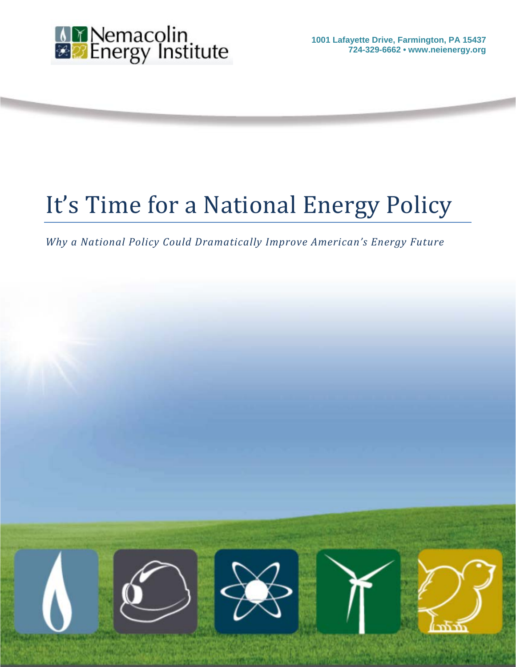

**1001 Lafayette Drive, Farmington, PA 15437 724-329-6662 • www.neienergy.org**

# It's Time for a National Energy Policy

*Why a National Policy Could Dramatically Improve American's Energy Future*

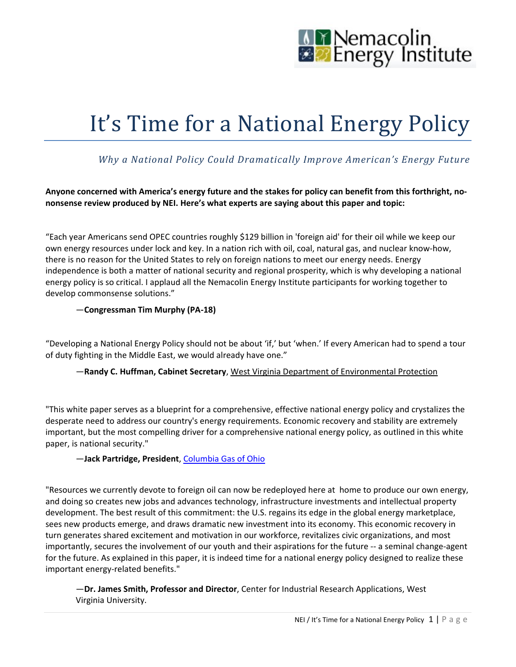

# It's Time for a National Energy Policy

# *Why a National Policy Could Dramatically Improve American's Energy Future*

**Anyone concerned with America's energy future and the stakes for policy can benefit from this forthright, nononsense review produced by NEI. Here's what experts are saying about this paper and topic:**

"Each year Americans send OPEC countries roughly \$129 billion in 'foreign aid' for their oil while we keep our own energy resources under lock and key. In a nation rich with oil, coal, natural gas, and nuclear know-how, there is no reason for the United States to rely on foreign nations to meet our energy needs. Energy independence is both a matter of national security and regional prosperity, which is why developing a national energy policy is so critical. I applaud all the Nemacolin Energy Institute participants for working together to develop commonsense solutions."

#### —**Congressman Tim Murphy (PA-18)**

"Developing a National Energy Policy should not be about 'if,' but 'when.' If every American had to spend a tour of duty fighting in the Middle East, we would already have one."

#### —**Randy C. Huffman, Cabinet Secretary**[, West Virginia Department of Environmental Protection](http://www.dep.wv.gov/Pages/default.aspx)

"This white paper serves as a blueprint for a comprehensive, effective national energy policy and crystalizes the desperate need to address our country's energy requirements. Economic recovery and stability are extremely important, but the most compelling driver for a comprehensive national energy policy, as outlined in this white paper, is national security."

#### —**Jack Partridge, President**, [Columbia Gas of Ohio](http://www.columbiagasohio.com/en/about-us.aspx)

"Resources we currently devote to foreign oil can now be redeployed here at home to produce our own energy, and doing so creates new jobs and advances technology, infrastructure investments and intellectual property development. The best result of this commitment: the U.S. regains its edge in the global energy marketplace, sees new products emerge, and draws dramatic new investment into its economy. This economic recovery in turn generates shared excitement and motivation in our workforce, revitalizes civic organizations, and most importantly, secures the involvement of our youth and their aspirations for the future -- a seminal change-agent for the future. As explained in this paper, it is indeed time for a national energy policy designed to realize these important energy-related benefits."

—**Dr. James Smith, Professor and Director**, Center for Industrial Research Applications, West Virginia University.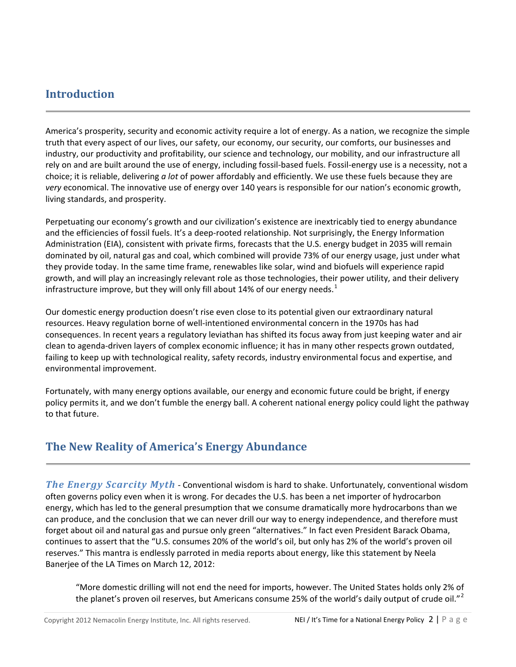# **Introduction**

America's prosperity, security and economic activity require a lot of energy. As a nation, we recognize the simple truth that every aspect of our lives, our safety, our economy, our security, our comforts, our businesses and industry, our productivity and profitability, our science and technology, our mobility, and our infrastructure all rely on and are built around the use of energy, including fossil-based fuels. Fossil-energy use is a necessity, not a choice; it is reliable, delivering *a lot* of power affordably and efficiently. We use these fuels because they are *very* economical. The innovative use of energy over 140 years is responsible for our nation's economic growth, living standards, and prosperity.

Perpetuating our economy's growth and our civilization's existence are inextricably tied to energy abundance and the efficiencies of fossil fuels. It's a deep-rooted relationship. Not surprisingly, the Energy Information Administration (EIA), consistent with private firms, forecasts that the U.S. energy budget in 2035 will remain dominated by oil, natural gas and coal, which combined will provide 73% of our energy usage, just under what they provide today. In the same time frame, renewables like solar, wind and biofuels will experience rapid growth, and will play an increasingly relevant role as those technologies, their power utility, and their delivery infrastructure improve, but they will only fill about [1](#page-19-0)4% of our energy needs.<sup>1</sup>

Our domestic energy production doesn't rise even close to its potential given our extraordinary natural resources. Heavy regulation borne of well-intentioned environmental concern in the 1970s has had consequences. In recent years a regulatory leviathan has shifted its focus away from just keeping water and air clean to agenda-driven layers of complex economic influence; it has in many other respects grown outdated, failing to keep up with technological reality, safety records, industry environmental focus and expertise, and environmental improvement.

Fortunately, with many energy options available, our energy and economic future could be bright, if energy policy permits it, and we don't fumble the energy ball. A coherent national energy policy could light the pathway to that future.

# **The New Reality of America's Energy Abundance**

*The Energy Scarcity Myth* - Conventional wisdom is hard to shake. Unfortunately, conventional wisdom often governs policy even when it is wrong. For decades the U.S. has been a net importer of hydrocarbon energy, which has led to the general presumption that we consume dramatically more hydrocarbons than we can produce, and the conclusion that we can never drill our way to energy independence, and therefore must forget about oil and natural gas and pursue only green "alternatives." In fact even President Barack Obama, continues to assert that the "U.S. consumes 20% of the world's oil, but only has 2% of the world's proven oil reserves." This mantra is endlessly parroted in media reports about energy, like this statement by Neela Banerjee of the LA Times on March 12, 2012:

"More domestic drilling will not end the need for imports, however. The United States holds only 2% of the planet's proven oil reserves, but Americans consume [2](#page-19-1)5% of the world's daily output of crude oil." $\lambda$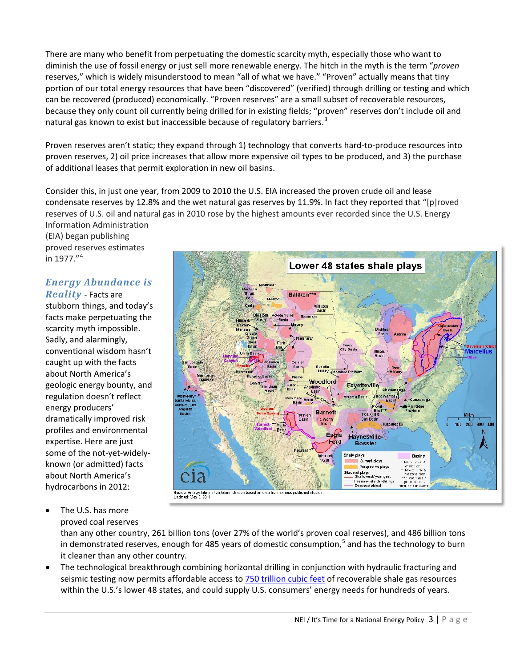There are many who benefit from perpetuating the domestic scarcity myth, especially those who want to diminish the use of fossil energy or just sell more renewable energy. The hitch in the myth is the term "*proven* reserves," which is widely misunderstood to mean "all of what we have." "Proven" actually means that tiny portion of our total energy resources that have been "discovered" (verified) through drilling or testing and which can be recovered (produced) economically. "Proven reserves" are a small subset of recoverable resources, because they only count oil currently being drilled for in existing fields; "proven" reserves don't include oil and natural gas known to exist but inaccessible because of regulatory barriers.<sup>[3](#page-19-2)</sup>

Proven reserves aren't static; they expand through 1) technology that converts hard-to-produce resources into proven reserves, 2) oil price increases that allow more expensive oil types to be produced, and 3) the purchase of additional leases that permit exploration in new oil basins.

Consider this, in just one year, from 2009 to 2010 the U.S. EIA increased the proven crude oil and lease condensate reserves by 12.8% and the wet natural gas reserves by 11.9%. In fact they reported that "[p]roved reserves of U.S. oil and natural gas in 2010 rose by the highest amounts ever recorded since the U.S. Energy

Information Administration (EIA) began publishing proved reserves estimates in 1977."<sup>[4](#page-19-3)</sup>

#### *Energy Abundance is Reality* - Facts are

stubborn things, and today's facts make perpetuating the scarcity myth impossible. Sadly, and alarmingly, conventional wisdom hasn't caught up with the facts about North America's geologic energy bounty, and regulation doesn't reflect energy producers' dramatically improved risk profiles and environmental expertise. Here are just some of the not-yet-widelyknown (or admitted) facts about North America's hydrocarbons in 2012:

- Lower 48 states shale plays **Bakken** Forest<br>City Basir Illinois Excello<br>Mulky Cherokee Platform Woodford Fayetteville Chatta & Ridge **Barnett** Worth  $100 - 20$ Eagle Haynesville-**Bossier** Shale plays Current plays Prospective play Stacked plays<br>—— Shallowes mermediate depth/ age Deepest/ oldest aberica espirator Source: Energy Information Administration bas<br>Updated: May 9, 2011 sed on data from us nublished sludie
- The U.S. has more proved coal reserves

than any other country, 261 billion tons (over 27% of the world's proven coal reserves), and 486 billion tons in demonstrated reserves, enough for 48[5](#page-19-4) years of domestic consumption,<sup>5</sup> and has the technology to burn it cleaner than any other country.

• The technological breakthrough combining horizontal drilling in conjunction with hydraulic fracturing and seismic testing now permits affordable access to [750 trillion cubic feet](http://www.eia.gov/analysis/studies/usshalegas/) of recoverable shale gas resources within the U.S.'s lower 48 states, and could supply U.S. consumers' energy needs for hundreds of years.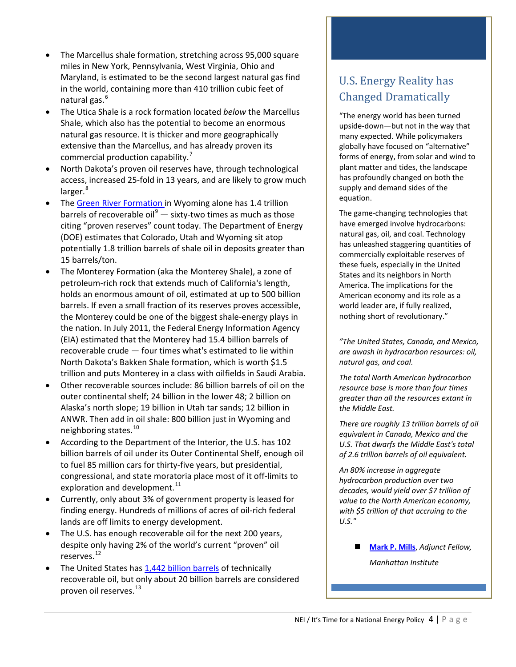- The Marcellus shale formation, stretching across 95,000 square miles in New York, Pennsylvania, West Virginia, Ohio and Maryland, is estimated to be the second largest natural gas find in the world, containing more than 410 trillion cubic feet of natural gas. [6](#page-19-5)
- The Utica Shale is a rock formation located *below* the Marcellus Shale, which also has the potential to become an enormous natural gas resource. It is thicker and more geographically extensive than the Marcellus, and has already proven its commercial production capability.<sup>[7](#page-19-6)</sup>
- North Dakota's proven oil reserves have, through technological access, increased 25-fold in 13 years, and are likely to grow much larger.<sup>[8](#page-19-7)</sup>
- The [Green River Formation in](http://pubs.usgs.gov/fs/2011/3113/) Wyoming alone has 1.4 trillion barrels of recoverable oil<sup>[9](#page-19-8)</sup>  $-$  sixty-two times as much as those citing "proven reserves" count today. The Department of Energy (DOE) estimates that Colorado, Utah and Wyoming sit atop potentially 1.8 trillion barrels of shale oil in deposits greater than 15 barrels/ton.
- The Monterey Formation (aka the Monterey Shale), a zone of petroleum-rich rock that extends much of California's length, holds an enormous amount of oil, estimated at up to 500 billion barrels. If even a small fraction of its reserves proves accessible, the Monterey could be one of the biggest shale-energy plays in the nation. In July 2011, the Federal Energy Information Agency (EIA) estimated that the Monterey had 15.4 billion barrels of recoverable crude — four times what's estimated to lie within North Dakota's Bakken Shale formation, which is worth \$1.5 trillion and puts Monterey in a class with oilfields in Saudi Arabia.
- Other recoverable sources include: 86 billion barrels of oil on the outer continental shelf; 24 billion in the lower 48; 2 billion on Alaska's north slope; 19 billion in Utah tar sands; 12 billion in ANWR. Then add in oil shale: 800 billion just in Wyoming and neighboring states.<sup>[10](#page-19-9)</sup>
- According to the Department of the Interior, the U.S. has 102 billion barrels of oil under its Outer Continental Shelf, enough oil to fuel 85 million cars for thirty-five years, but presidential, congressional, and state moratoria place most of it off-limits to exploration and development. $^{11}$  $^{11}$  $^{11}$
- Currently, only about 3% of government property is leased for finding energy. Hundreds of millions of acres of oil-rich federal lands are off limits to energy development.
- The U.S. has enough recoverable oil for the next 200 years, despite only having 2% of the world's current "proven" oil reserves. [12](#page-19-11)
- The United States ha[s 1,442 billion barrels](http://energyforamerica.org/wp-content/uploads/2012/01/Energy-InventoryFINAL.pdf) of technically recoverable oil, but only about 20 billion barrels are considered proven oil reserves.<sup>[13](#page-19-12)</sup>

# U.S. Energy Reality has Changed Dramatically

"The energy world has been turned upside-down—but not in the way that many expected. While policymakers globally have focused on "alternative" forms of energy, from solar and wind to plant matter and tides, the landscape has profoundly changed on both the supply and demand sides of the equation.

The game-changing technologies that have emerged involve hydrocarbons: natural gas, oil, and coal. Technology has unleashed staggering quantities of commercially exploitable reserves of these fuels, especially in the United States and its neighbors in North America. The implications for the American economy and its role as a world leader are, if fully realized, nothing short of revolutionary."

*"The United States, Canada, and Mexico, are awash in hydrocarbon resources: oil, natural gas, and coal.*

*The total North American hydrocarbon resource base is more than four times greater than all the resources extant in the Middle East.*

*There are roughly 13 trillion barrels of oil equivalent in Canada, Mexico and the U.S. That dwarfs the Middle East's total of 2.6 trillion barrels of oil equivalent.*

*An 80% increase in aggregate hydrocarbon production over two decades, would yield over \$7 trillion of value to the North American economy, with \$5 trillion of that accruing to the U.S."*

 **[Mark P. Mills](http://www.manhattan-institute.org/html/mills.htm)**, *Adjunct Fellow, Manhattan Institute*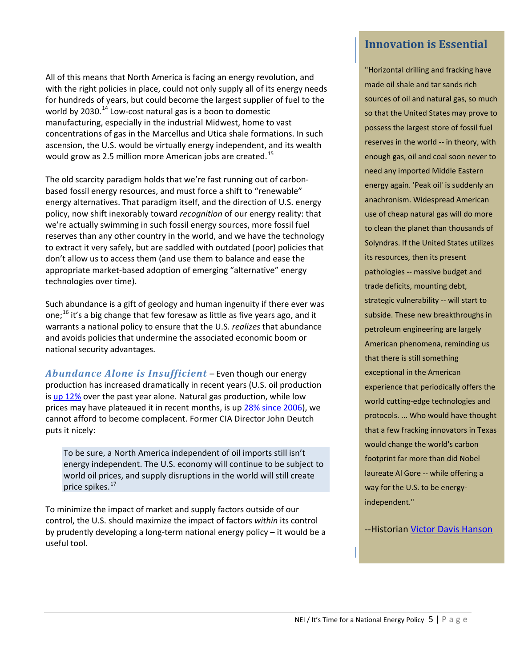All of this means that North America is facing an energy revolution, and with the right policies in place, could not only supply all of its energy needs for hundreds of years, but could become the largest supplier of fuel to the world by 2030.<sup>[14](#page-19-13)</sup> Low-cost natural gas is a boon to domestic manufacturing, especially in the industrial Midwest, home to vast concentrations of gas in the Marcellus and Utica shale formations. In such ascension, the U.S. would be virtually energy independent, and its wealth would grow as 2.5 million more American jobs are created. [15](#page-19-14)

The old scarcity paradigm holds that we're fast running out of carbonbased fossil energy resources, and must force a shift to "renewable" energy alternatives. That paradigm itself, and the direction of U.S. energy policy, now shift inexorably toward *recognition* of our energy reality: that we're actually swimming in such fossil energy sources, more fossil fuel reserves than any other country in the world, and we have the technology to extract it very safely, but are saddled with outdated (poor) policies that don't allow us to access them (and use them to balance and ease the appropriate market-based adoption of emerging "alternative" energy technologies over time).

Such abundance is a gift of geology and human ingenuity if there ever was one;<sup>[16](#page-19-15)</sup> it's a big change that few foresaw as little as five years ago, and it warrants a national policy to ensure that the U.S. *realizes* that abundance and avoids policies that undermine the associated economic boom or national security advantages.

*Abundance Alone is Insufficient* – Even though our energy production has increased dramatically in recent years (U.S. oil production is [up 12%](http://www.eia.gov/dnav/pet/pet_crd_crpdn_adc_mbblpd_m.htm) over the past year alone. Natural gas production, while low prices may have plateaued it in recent months, is u[p 28% since 2006\)](http://www.eia.gov/dnav/ng/hist/n9010us2m.htm), we cannot afford to become complacent. Former CIA Director John Deutch puts it nicely:

To be sure, a North America independent of oil imports still isn't energy independent. The U.S. economy will continue to be subject to world oil prices, and supply disruptions in the world will still create price spikes.<sup>[17](#page-19-16)</sup>

To minimize the impact of market and supply factors outside of our control, the U.S. should maximize the impact of factors *within* its control by prudently developing a long-term national energy policy – it would be a useful tool.

# **Innovation is Essential**

"Horizontal drilling and fracking have made oil shale and tar sands rich sources of oil and natural gas, so much so that the United States may prove to possess the largest store of fossil fuel reserves in the world -- in theory, with enough gas, oil and coal soon never to need any imported Middle Eastern energy again. 'Peak oil' is suddenly an anachronism. Widespread American use of cheap natural gas will do more to clean the planet than thousands of Solyndras. If the United States utilizes its resources, then its present pathologies -- massive budget and trade deficits, mounting debt, strategic vulnerability -- will start to subside. These new breakthroughs in petroleum engineering are largely American phenomena, reminding us that there is still something exceptional in the American experience that periodically offers the world cutting-edge technologies and protocols. ... Who would have thought that a few fracking innovators in Texas would change the world's carbon footprint far more than did Nobel laureate Al Gore -- while offering a way for the U.S. to be energyindependent."

-Historian [Victor Davis Hanson](http://patriotpost.us/opinion/14095)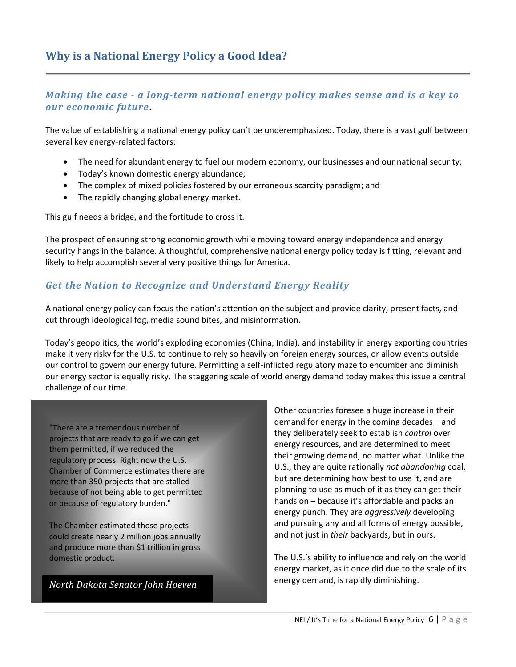#### *Making the case - a long-term national energy policy makes sense and is a key to our economic future***.**

The value of establishing a national energy policy can't be underemphasized. Today, there is a vast gulf between several key energy-related factors:

- The need for abundant energy to fuel our modern economy, our businesses and our national security;
- Today's known domestic energy abundance;
- The complex of mixed policies fostered by our erroneous scarcity paradigm; and
- The rapidly changing global energy market.

This gulf needs a bridge, and the fortitude to cross it.

The prospect of ensuring strong economic growth while moving toward energy independence and energy security hangs in the balance. A thoughtful, comprehensive national energy policy today is fitting, relevant and likely to help accomplish several very positive things for America.

## *Get the Nation to Recognize and Understand Energy Reality*

A national energy policy can focus the nation's attention on the subject and provide clarity, present facts, and cut through ideological fog, media sound bites, and misinformation.

Today's geopolitics, the world's exploding economies (China, India), and instability in energy exporting countries make it very risky for the U.S. to continue to rely so heavily on foreign energy sources, or allow events outside our control to govern our energy future. Permitting a self-inflicted regulatory maze to encumber and diminish our energy sector is equally risky. The staggering scale of world energy demand today makes this issue a central challenge of our time.

"There are a tremendous number of projects that are ready to go if we can get them permitted, if we reduced the regulatory process. Right now the U.S. Chamber of Commerce estimates there are more than 350 projects that are stalled because of not being able to get permitted or because of regulatory burden."

The Chamber estimated those projects could create nearly 2 million jobs annually and produce more than \$1 trillion in gross domestic product.

*North Dakota Senator John Hoeven* 

Other countries foresee a huge increase in their demand for energy in the coming decades – and they deliberately seek to establish *control* over energy resources, and are determined to meet their growing demand, no matter what. Unlike the U.S., they are quite rationally *not abandoning* coal, but are determining how best to use it, and are planning to use as much of it as they can get their hands on – because it's affordable and packs an energy punch. They are *aggressively* developing and pursuing any and all forms of energy possible, and not just in *their* backyards, but in ours.

The U.S.'s ability to influence and rely on the world energy market, as it once did due to the scale of its energy demand, is rapidly diminishing.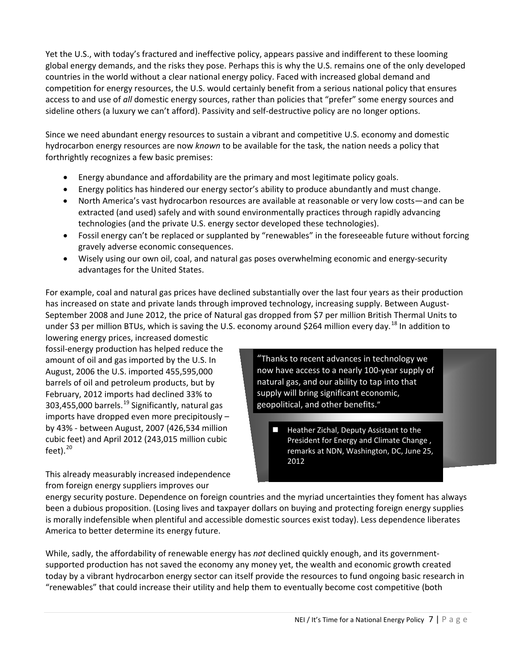Yet the U.S., with today's fractured and ineffective policy, appears passive and indifferent to these looming global energy demands, and the risks they pose. Perhaps this is why the U.S. remains one of the only developed countries in the world without a clear national energy policy. Faced with increased global demand and competition for energy resources, the U.S. would certainly benefit from a serious national policy that ensures access to and use of *all* domestic energy sources, rather than policies that "prefer" some energy sources and sideline others (a luxury we can't afford). Passivity and self-destructive policy are no longer options.

Since we need abundant energy resources to sustain a vibrant and competitive U.S. economy and domestic hydrocarbon energy resources are now *known* to be available for the task, the nation needs a policy that forthrightly recognizes a few basic premises:

- Energy abundance and affordability are the primary and most legitimate policy goals.
- Energy politics has hindered our energy sector's ability to produce abundantly and must change.
- North America's vast hydrocarbon resources are available at reasonable or very low costs—and can be extracted (and used) safely and with sound environmentally practices through rapidly advancing technologies (and the private U.S. energy sector developed these technologies).
- Fossil energy can't be replaced or supplanted by "renewables" in the foreseeable future without forcing gravely adverse economic consequences.
- Wisely using our own oil, coal, and natural gas poses overwhelming economic and energy-security advantages for the United States.

For example, coal and natural gas prices have declined substantially over the last four years as their production has increased on state and private lands through improved technology, increasing supply. Between August-September 2008 and June 2012, the price of Natural gas dropped from \$7 per million British Thermal Units to under \$3 per million BTUs, which is saving the U.S. economy around \$264 million every day.<sup>[18](#page-19-17)</sup> In addition to

lowering energy prices, increased domestic fossil-energy production has helped reduce the amount of oil and gas imported by the U.S. In August, 2006 the U.S. imported 455,595,000 barrels of oil and petroleum products, but by February, 2012 imports had declined 33% to 303,455,000 barrels.<sup>[19](#page-19-18)</sup> Significantly, natural gas imports have dropped even more precipitously – by 43% - between August, 2007 (426,534 million cubic feet) and April 2012 (243,015 million cubic feet). [20](#page-19-19)

This already measurably increased independence from foreign energy suppliers improves our

"Thanks to recent advances in technology we now have access to a nearly 100-year supply of natural gas, and our ability to tap into that supply will bring significant economic, geopolitical, and other benefits."

 Heather Zichal, Deputy Assistant to the President for Energy and Climate Change , remarks at NDN, Washington, DC, June 25, 2012

energy security posture. Dependence on foreign countries and the myriad uncertainties they foment has always been a dubious proposition. (Losing lives and taxpayer dollars on buying and protecting foreign energy supplies is morally indefensible when plentiful and accessible domestic sources exist today). Less dependence liberates America to better determine its energy future.

While, sadly, the affordability of renewable energy has *not* declined quickly enough, and its governmentsupported production has not saved the economy any money yet, the wealth and economic growth created today by a vibrant hydrocarbon energy sector can itself provide the resources to fund ongoing basic research in "renewables" that could increase their utility and help them to eventually become cost competitive (both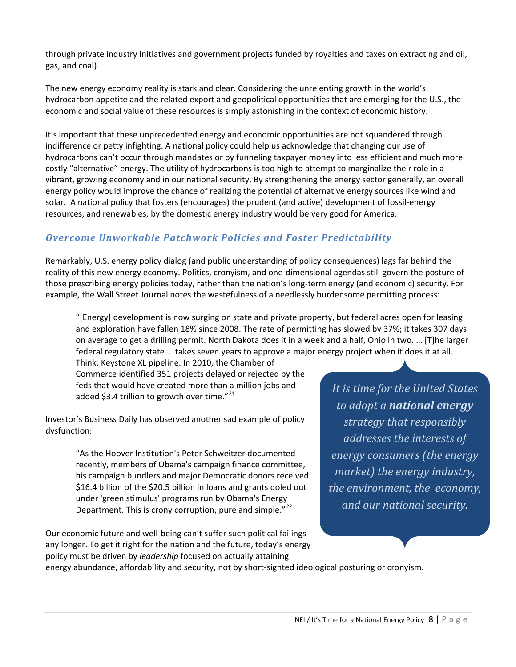through private industry initiatives and government projects funded by royalties and taxes on extracting and oil, gas, and coal).

The new energy economy reality is stark and clear. Considering the unrelenting growth in the world's hydrocarbon appetite and the related export and geopolitical opportunities that are emerging for the U.S., the economic and social value of these resources is simply astonishing in the context of economic history.

It's important that these unprecedented energy and economic opportunities are not squandered through indifference or petty infighting. A national policy could help us acknowledge that changing our use of hydrocarbons can't occur through mandates or by funneling taxpayer money into less efficient and much more costly "alternative" energy. The utility of hydrocarbons is too high to attempt to marginalize their role in a vibrant, growing economy and in our national security. By strengthening the energy sector generally, an overall energy policy would improve the chance of realizing the potential of alternative energy sources like wind and solar. A national policy that fosters (encourages) the prudent (and active) development of fossil-energy resources, and renewables, by the domestic energy industry would be very good for America.

## *Overcome Unworkable Patchwork Policies and Foster Predictability*

Remarkably, U.S. energy policy dialog (and public understanding of policy consequences) lags far behind the reality of this new energy economy. Politics, cronyism, and one-dimensional agendas still govern the posture of those prescribing energy policies today, rather than the nation's long-term energy (and economic) security. For example, the Wall Street Journal notes the wastefulness of a needlessly burdensome permitting process:

"[Energy] development is now surging on state and private property, but federal acres open for leasing and exploration have fallen 18% since 2008. The rate of permitting has slowed by 37%; it takes 307 days on average to get a drilling permit. North Dakota does it in a week and a half, Ohio in two. … [T]he larger federal regulatory state … takes seven years to approve a major energy project when it does it at all.

Think: Keystone XL pipeline. In 2010, the Chamber of Commerce identified 351 projects delayed or rejected by the feds that would have created more than a million jobs and added \$3.4 trillion to growth over time." $^{21}$  $^{21}$  $^{21}$ 

Investor's Business Daily has observed another sad example of policy dysfunction:

> "As the Hoover Institution's Peter Schweitzer documented recently, members of Obama's campaign finance committee, his campaign bundlers and major Democratic donors received \$16.4 billion of the \$20.5 billion in loans and grants doled out under 'green stimulus' programs run by Obama's Energy Department. This is crony corruption, pure and simple."<sup>[22](#page-19-21)</sup>

Our economic future and well-being can't suffer such political failings any longer. To get it right for the nation and the future, today's energy policy must be driven by *leadership* focused on actually attaining

*It is time for the United States to adopt a national energy strategy that responsibly addresses the interests of energy consumers (the energy market) the energy industry, the environment, the economy, and our national security.*

energy abundance, affordability and security, not by short-sighted ideological posturing or cronyism.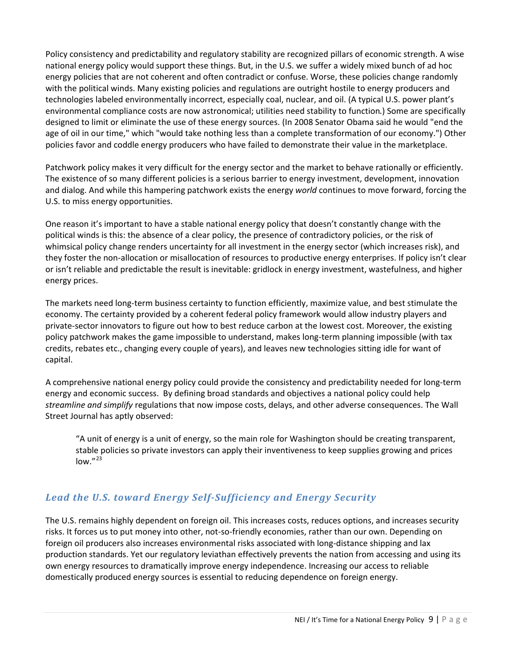Policy consistency and predictability and regulatory stability are recognized pillars of economic strength. A wise national energy policy would support these things. But, in the U.S. we suffer a widely mixed bunch of ad hoc energy policies that are not coherent and often contradict or confuse. Worse, these policies change randomly with the political winds. Many existing policies and regulations are outright hostile to energy producers and technologies labeled environmentally incorrect, especially coal, nuclear, and oil. (A typical U.S. power plant's environmental compliance costs are now astronomical; utilities need stability to function.) Some are specifically designed to limit or eliminate the use of these energy sources. (In 2008 Senator Obama said he would "end the age of oil in our time," which "would take nothing less than a complete transformation of our economy.") Other policies favor and coddle energy producers who have failed to demonstrate their value in the marketplace.

Patchwork policy makes it very difficult for the energy sector and the market to behave rationally or efficiently. The existence of so many different policies is a serious barrier to energy investment, development, innovation and dialog. And while this hampering patchwork exists the energy *world* continues to move forward, forcing the U.S. to miss energy opportunities.

One reason it's important to have a stable national energy policy that doesn't constantly change with the political winds is this: the absence of a clear policy, the presence of contradictory policies, or the risk of whimsical policy change renders uncertainty for all investment in the energy sector (which increases risk), and they foster the non-allocation or misallocation of resources to productive energy enterprises. If policy isn't clear or isn't reliable and predictable the result is inevitable: gridlock in energy investment, wastefulness, and higher energy prices.

The markets need long-term business certainty to function efficiently, maximize value, and best stimulate the economy. The certainty provided by a coherent federal policy framework would allow industry players and private-sector innovators to figure out how to best reduce carbon at the lowest cost. Moreover, the existing policy patchwork makes the game impossible to understand, makes long-term planning impossible (with tax credits, rebates etc., changing every couple of years), and leaves new technologies sitting idle for want of capital.

A comprehensive national energy policy could provide the consistency and predictability needed for long-term energy and economic success. By defining broad standards and objectives a national policy could help *streamline and simplify* regulations that now impose costs, delays, and other adverse consequences. The Wall Street Journal has aptly observed:

"A unit of energy is a unit of energy, so the main role for Washington should be creating transparent, stable policies so private investors can apply their inventiveness to keep supplies growing and prices  $low.^{"23}$  $low.^{"23}$  $low.^{"23}$ 

## *Lead the U.S. toward Energy Self-Sufficiency and Energy Security*

The U.S. remains highly dependent on foreign oil. This increases costs, reduces options, and increases security risks. It forces us to put money into other, not-so-friendly economies, rather than our own. Depending on foreign oil producers also increases environmental risks associated with long-distance shipping and lax production standards. Yet our regulatory leviathan effectively prevents the nation from accessing and using its own energy resources to dramatically improve energy independence. Increasing our access to reliable domestically produced energy sources is essential to reducing dependence on foreign energy.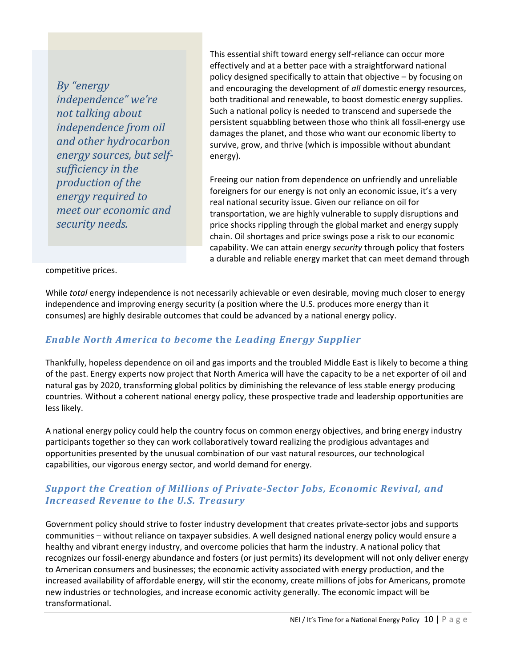*By "energy independence" we're not talking about independence from oil and other hydrocarbon energy sources, but selfsufficiency in the production of the energy required to meet our economic and security needs.*

This essential shift toward energy self-reliance can occur more effectively and at a better pace with a straightforward national policy designed specifically to attain that objective – by focusing on and encouraging the development of *all* domestic energy resources, both traditional and renewable, to boost domestic energy supplies. Such a national policy is needed to transcend and supersede the persistent squabbling between those who think all fossil-energy use damages the planet, and those who want our economic liberty to survive, grow, and thrive (which is impossible without abundant energy).

Freeing our nation from dependence on unfriendly and unreliable foreigners for our energy is not only an economic issue, it's a very real national security issue. Given our reliance on oil for transportation, we are highly vulnerable to supply disruptions and price shocks rippling through the global market and energy supply chain. Oil shortages and price swings pose a risk to our economic capability. We can attain energy *security* through policy that fosters a durable and reliable energy market that can meet demand through

#### competitive prices.

While *total* energy independence is not necessarily achievable or even desirable, moving much closer to energy independence and improving energy security (a position where the U.S. produces more energy than it consumes) are highly desirable outcomes that could be advanced by a national energy policy.

#### *Enable North America to become* **the** *Leading Energy Supplier*

Thankfully, hopeless dependence on oil and gas imports and the troubled Middle East is likely to become a thing of the past. Energy experts now project that North America will have the capacity to be a net exporter of oil and natural gas by 2020, transforming global politics by diminishing the relevance of less stable energy producing countries. Without a coherent national energy policy, these prospective trade and leadership opportunities are less likely.

A national energy policy could help the country focus on common energy objectives, and bring energy industry participants together so they can work collaboratively toward realizing the prodigious advantages and opportunities presented by the unusual combination of our vast natural resources, our technological capabilities, our vigorous energy sector, and world demand for energy.

#### *Support the Creation of Millions of Private-Sector Jobs, Economic Revival, and Increased Revenue to the U.S. Treasury*

Government policy should strive to foster industry development that creates private-sector jobs and supports communities – without reliance on taxpayer subsidies. A well designed national energy policy would ensure a healthy and vibrant energy industry, and overcome policies that harm the industry. A national policy that recognizes our fossil-energy abundance and fosters (or just permits) its development will not only deliver energy to American consumers and businesses; the economic activity associated with energy production, and the increased availability of affordable energy, will stir the economy, create millions of jobs for Americans, promote new industries or technologies, and increase economic activity generally. The economic impact will be transformational.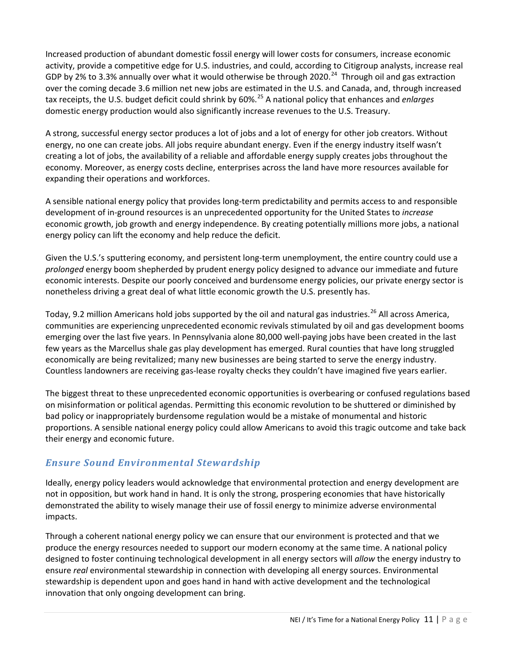Increased production of abundant domestic fossil energy will lower costs for consumers, increase economic activity, provide a competitive edge for U.S. industries, and could, according to Citigroup analysts, increase real GDP by 2% to 3.3% annually over what it would otherwise be through 2020.<sup>[24](#page-19-23)</sup> Through oil and gas extraction over the coming decade 3.6 million net new jobs are estimated in the U.S. and Canada, and, through increased tax receipts, the U.S. budget deficit could shrink by 60%.[25](#page-19-24) A national policy that enhances and *enlarges* domestic energy production would also significantly increase revenues to the U.S. Treasury.

A strong, successful energy sector produces a lot of jobs and a lot of energy for other job creators. Without energy, no one can create jobs. All jobs require abundant energy. Even if the energy industry itself wasn't creating a lot of jobs, the availability of a reliable and affordable energy supply creates jobs throughout the economy. Moreover, as energy costs decline, enterprises across the land have more resources available for expanding their operations and workforces.

A sensible national energy policy that provides long-term predictability and permits access to and responsible development of in-ground resources is an unprecedented opportunity for the United States to *increase* economic growth, job growth and energy independence. By creating potentially millions more jobs, a national energy policy can lift the economy and help reduce the deficit.

Given the U.S.'s sputtering economy, and persistent long-term unemployment, the entire country could use a *prolonged* energy boom shepherded by prudent energy policy designed to advance our immediate and future economic interests. Despite our poorly conceived and burdensome energy policies, our private energy sector is nonetheless driving a great deal of what little economic growth the U.S. presently has.

Today, 9.2 million Americans hold jobs supported by the oil and natural gas industries.<sup>[26](#page-19-25)</sup> All across America, communities are experiencing unprecedented economic revivals stimulated by oil and gas development booms emerging over the last five years. In Pennsylvania alone 80,000 well-paying jobs have been created in the last few years as the Marcellus shale gas play development has emerged. Rural counties that have long struggled economically are being revitalized; many new businesses are being started to serve the energy industry. Countless landowners are receiving gas-lease royalty checks they couldn't have imagined five years earlier.

The biggest threat to these unprecedented economic opportunities is overbearing or confused regulations based on misinformation or political agendas. Permitting this economic revolution to be shuttered or diminished by bad policy or inappropriately burdensome regulation would be a mistake of monumental and historic proportions. A sensible national energy policy could allow Americans to avoid this tragic outcome and take back their energy and economic future.

# *Ensure Sound Environmental Stewardship*

Ideally, energy policy leaders would acknowledge that environmental protection and energy development are not in opposition, but work hand in hand. It is only the strong, prospering economies that have historically demonstrated the ability to wisely manage their use of fossil energy to minimize adverse environmental impacts.

Through a coherent national energy policy we can ensure that our environment is protected and that we produce the energy resources needed to support our modern economy at the same time. A national policy designed to foster continuing technological development in all energy sectors will *allow* the energy industry to ensure *real* environmental stewardship in connection with developing all energy sources. Environmental stewardship is dependent upon and goes hand in hand with active development and the technological innovation that only ongoing development can bring.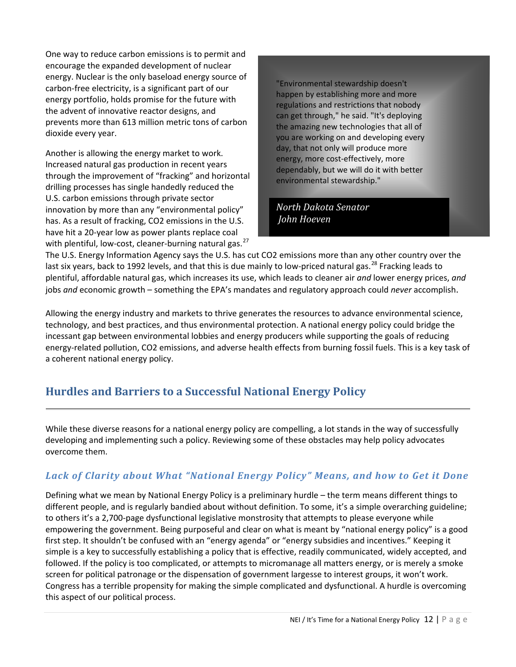One way to reduce carbon emissions is to permit and encourage the expanded development of nuclear energy. Nuclear is the only baseload energy source of carbon-free electricity, is a significant part of our energy portfolio, holds promise for the future with the advent of innovative reactor designs, and prevents more than 613 million metric tons of carbon dioxide every year.

Another is allowing the energy market to work. Increased natural gas production in recent years through the improvement of "fracking" and horizontal drilling processes has single handedly reduced the U.S. carbon emissions through private sector innovation by more than any "environmental policy" has. As a result of fracking, CO2 emissions in the U.S. have hit a 20-year low as power plants replace coal with plentiful, low-cost, cleaner-burning natural gas.<sup>[27](#page-19-26)</sup>

"Environmental stewardship doesn't happen by establishing more and more regulations and restrictions that nobody can get through," he said. "It's deploying the amazing new technologies that all of you are working on and developing every day, that not only will produce more energy, more cost-effectively, more dependably, but we will do it with better environmental stewardship."

*North Dakota Senator John Hoeven* 

The U.S. Energy Information Agency says the U.S. has cut CO2 emissions more than any other country over the last six years, back to 1992 levels, and that this is due mainly to low-priced natural gas.<sup>[28](#page-19-27)</sup> Fracking leads to plentiful, affordable natural gas, which increases its use, which leads to cleaner air *and* lower energy prices, *and* jobs *and* economic growth – something the EPA's mandates and regulatory approach could *never* accomplish.

Allowing the energy industry and markets to thrive generates the resources to advance environmental science, technology, and best practices, and thus environmental protection. A national energy policy could bridge the incessant gap between environmental lobbies and energy producers while supporting the goals of reducing energy-related pollution, CO2 emissions, and adverse health effects from burning fossil fuels. This is a key task of a coherent national energy policy.

# **Hurdles and Barriers to a Successful National Energy Policy**

While these diverse reasons for a national energy policy are compelling, a lot stands in the way of successfully developing and implementing such a policy. Reviewing some of these obstacles may help policy advocates overcome them.

# *Lack of Clarity about What "National Energy Policy" Means, and how to Get it Done*

Defining what we mean by National Energy Policy is a preliminary hurdle – the term means different things to different people, and is regularly bandied about without definition. To some, it's a simple overarching guideline; to others it's a 2,700-page dysfunctional legislative monstrosity that attempts to please everyone while empowering the government. Being purposeful and clear on what is meant by "national energy policy" is a good first step. It shouldn't be confused with an "energy agenda" or "energy subsidies and incentives." Keeping it simple is a key to successfully establishing a policy that is effective, readily communicated, widely accepted, and followed. If the policy is too complicated, or attempts to micromanage all matters energy, or is merely a smoke screen for political patronage or the dispensation of government largesse to interest groups, it won't work. Congress has a terrible propensity for making the simple complicated and dysfunctional. A hurdle is overcoming this aspect of our political process.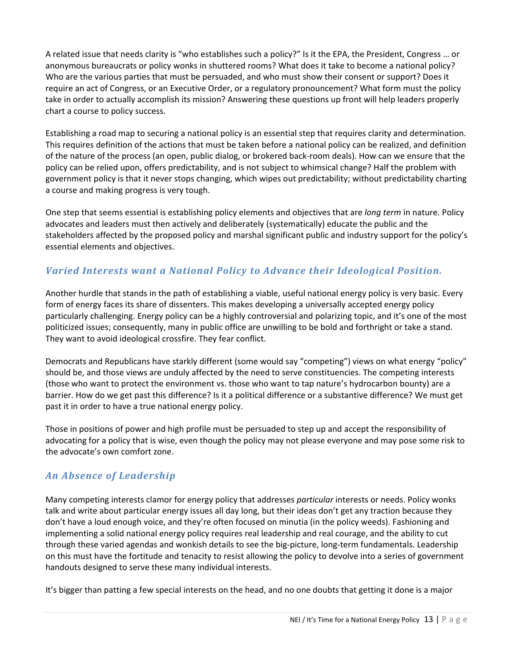A related issue that needs clarity is "who establishes such a policy?" Is it the EPA, the President, Congress … or anonymous bureaucrats or policy wonks in shuttered rooms? What does it take to become a national policy? Who are the various parties that must be persuaded, and who must show their consent or support? Does it require an act of Congress, or an Executive Order, or a regulatory pronouncement? What form must the policy take in order to actually accomplish its mission? Answering these questions up front will help leaders properly chart a course to policy success.

Establishing a road map to securing a national policy is an essential step that requires clarity and determination. This requires definition of the actions that must be taken before a national policy can be realized, and definition of the nature of the process (an open, public dialog, or brokered back-room deals). How can we ensure that the policy can be relied upon, offers predictability, and is not subject to whimsical change? Half the problem with government policy is that it never stops changing, which wipes out predictability; without predictability charting a course and making progress is very tough.

One step that seems essential is establishing policy elements and objectives that are *long term* in nature. Policy advocates and leaders must then actively and deliberately (systematically) educate the public and the stakeholders affected by the proposed policy and marshal significant public and industry support for the policy's essential elements and objectives.

# *Varied Interests want a National Policy to Advance their Ideological Position.*

Another hurdle that stands in the path of establishing a viable, useful national energy policy is very basic. Every form of energy faces its share of dissenters. This makes developing a universally accepted energy policy particularly challenging. Energy policy can be a highly controversial and polarizing topic, and it's one of the most politicized issues; consequently, many in public office are unwilling to be bold and forthright or take a stand. They want to avoid ideological crossfire. They fear conflict.

Democrats and Republicans have starkly different (some would say "competing") views on what energy "policy" should be, and those views are unduly affected by the need to serve constituencies. The competing interests (those who want to protect the environment vs. those who want to tap nature's hydrocarbon bounty) are a barrier. How do we get past this difference? Is it a political difference or a substantive difference? We must get past it in order to have a true national energy policy.

Those in positions of power and high profile must be persuaded to step up and accept the responsibility of advocating for a policy that is wise, even though the policy may not please everyone and may pose some risk to the advocate's own comfort zone.

## *An Absence of Leadership*

Many competing interests clamor for energy policy that addresses *particular* interests or needs. Policy wonks talk and write about particular energy issues all day long, but their ideas don't get any traction because they don't have a loud enough voice, and they're often focused on minutia (in the policy weeds). Fashioning and implementing a solid national energy policy requires real leadership and real courage, and the ability to cut through these varied agendas and wonkish details to see the big-picture, long-term fundamentals. Leadership on this must have the fortitude and tenacity to resist allowing the policy to devolve into a series of government handouts designed to serve these many individual interests.

It's bigger than patting a few special interests on the head, and no one doubts that getting it done is a major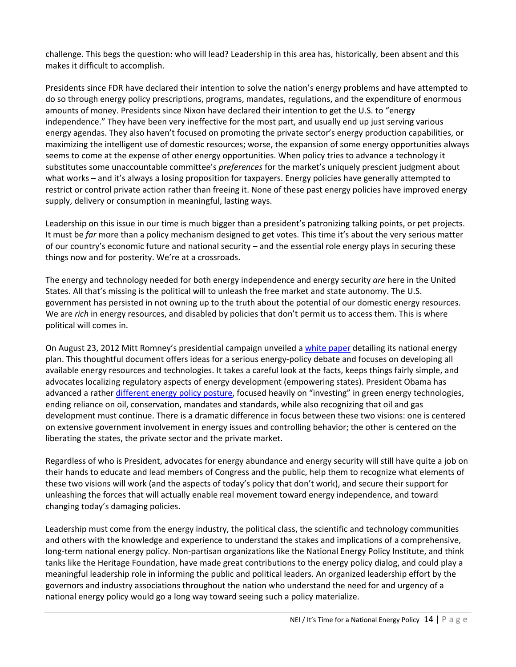challenge. This begs the question: who will lead? Leadership in this area has, historically, been absent and this makes it difficult to accomplish.

Presidents since FDR have declared their intention to solve the nation's energy problems and have attempted to do so through energy policy prescriptions, programs, mandates, regulations, and the expenditure of enormous amounts of money. Presidents since Nixon have declared their intention to get the U.S. to "energy independence." They have been very ineffective for the most part, and usually end up just serving various energy agendas. They also haven't focused on promoting the private sector's energy production capabilities, or maximizing the intelligent use of domestic resources; worse, the expansion of some energy opportunities always seems to come at the expense of other energy opportunities. When policy tries to advance a technology it substitutes some unaccountable committee's *preferences* for the market's uniquely prescient judgment about what works – and it's always a losing proposition for taxpayers. Energy policies have generally attempted to restrict or control private action rather than freeing it. None of these past energy policies have improved energy supply, delivery or consumption in meaningful, lasting ways.

Leadership on this issue in our time is much bigger than a president's patronizing talking points, or pet projects. It must be *far* more than a policy mechanism designed to get votes. This time it's about the very serious matter of our country's economic future and national security – and the essential role energy plays in securing these things now and for posterity. We're at a crossroads.

The energy and technology needed for both energy independence and energy security *are* here in the United States. All that's missing is the political will to unleash the free market and state autonomy. The U.S. government has persisted in not owning up to the truth about the potential of our domestic energy resources. We are *rich* in energy resources, and disabled by policies that don't permit us to access them. This is where political will comes in.

On August 23, 2012 Mitt Romney's presidential campaign unveiled a [white paper](http://www.mittromney.com/sites/default/files/shared/energy_policy_white_paper_8.23.pdf) detailing its national energy plan. This thoughtful document offers ideas for a serious energy-policy debate and focuses on developing all available energy resources and technologies. It takes a careful look at the facts, keeps things fairly simple, and advocates localizing regulatory aspects of energy development (empowering states). President Obama has advanced a rathe[r different energy policy posture,](http://www.whitehouse.gov/sites/default/files/blueprint_secure_energy_future.pdf) focused heavily on "investing" in green energy technologies, ending reliance on oil, conservation, mandates and standards, while also recognizing that oil and gas development must continue. There is a dramatic difference in focus between these two visions: one is centered on extensive government involvement in energy issues and controlling behavior; the other is centered on the liberating the states, the private sector and the private market.

Regardless of who is President, advocates for energy abundance and energy security will still have quite a job on their hands to educate and lead members of Congress and the public, help them to recognize what elements of these two visions will work (and the aspects of today's policy that don't work), and secure their support for unleashing the forces that will actually enable real movement toward energy independence, and toward changing today's damaging policies.

Leadership must come from the energy industry, the political class, the scientific and technology communities and others with the knowledge and experience to understand the stakes and implications of a comprehensive, long-term national energy policy. Non-partisan organizations like the National Energy Policy Institute, and think tanks like the Heritage Foundation, have made great contributions to the energy policy dialog, and could play a meaningful leadership role in informing the public and political leaders. An organized leadership effort by the governors and industry associations throughout the nation who understand the need for and urgency of a national energy policy would go a long way toward seeing such a policy materialize.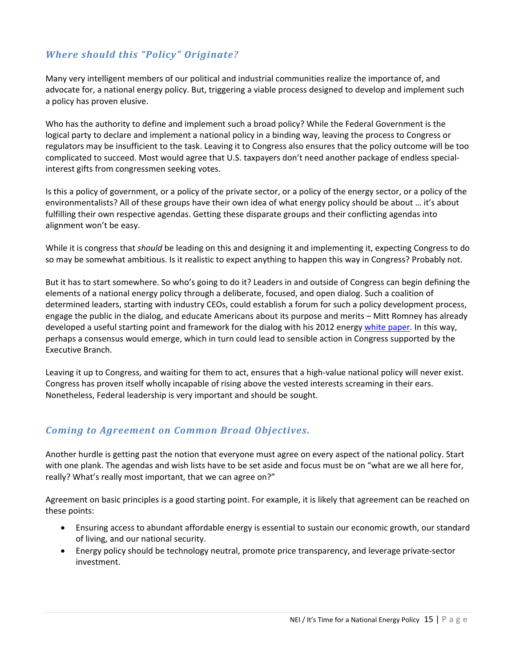## *Where should this "Policy" Originate?*

Many very intelligent members of our political and industrial communities realize the importance of, and advocate for, a national energy policy. But, triggering a viable process designed to develop and implement such a policy has proven elusive.

Who has the authority to define and implement such a broad policy? While the Federal Government is the logical party to declare and implement a national policy in a binding way, leaving the process to Congress or regulators may be insufficient to the task. Leaving it to Congress also ensures that the policy outcome will be too complicated to succeed. Most would agree that U.S. taxpayers don't need another package of endless specialinterest gifts from congressmen seeking votes.

Is this a policy of government, or a policy of the private sector, or a policy of the energy sector, or a policy of the environmentalists? All of these groups have their own idea of what energy policy should be about … it's about fulfilling their own respective agendas. Getting these disparate groups and their conflicting agendas into alignment won't be easy.

While it is congress that *should* be leading on this and designing it and implementing it, expecting Congress to do so may be somewhat ambitious. Is it realistic to expect anything to happen this way in Congress? Probably not.

But it has to start somewhere. So who's going to do it? Leaders in and outside of Congress can begin defining the elements of a national energy policy through a deliberate, focused, and open dialog. Such a coalition of determined leaders, starting with industry CEOs, could establish a forum for such a policy development process, engage the public in the dialog, and educate Americans about its purpose and merits – Mitt Romney has already developed a useful starting point and framework for the dialog with his 2012 energ[y white paper.](http://www.mittromney.com/sites/default/files/shared/energy_policy_white_paper_8.23.pdf) In this way, perhaps a consensus would emerge, which in turn could lead to sensible action in Congress supported by the Executive Branch.

Leaving it up to Congress, and waiting for them to act, ensures that a high-value national policy will never exist. Congress has proven itself wholly incapable of rising above the vested interests screaming in their ears. Nonetheless, Federal leadership is very important and should be sought.

#### *Coming to Agreement on Common Broad Objectives.*

Another hurdle is getting past the notion that everyone must agree on every aspect of the national policy. Start with one plank. The agendas and wish lists have to be set aside and focus must be on "what are we all here for, really? What's really most important, that we can agree on?"

Agreement on basic principles is a good starting point. For example, it is likely that agreement can be reached on these points:

- Ensuring access to abundant affordable energy is essential to sustain our economic growth, our standard of living, and our national security.
- Energy policy should be technology neutral, promote price transparency, and leverage private-sector investment.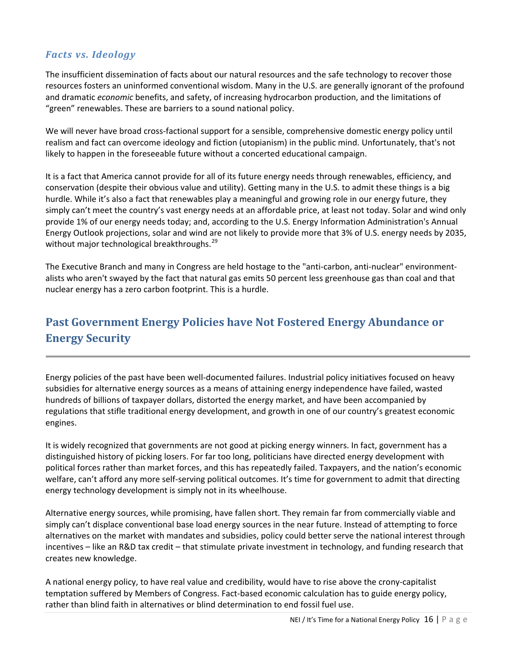## *Facts vs. Ideology*

The insufficient dissemination of facts about our natural resources and the safe technology to recover those resources fosters an uninformed conventional wisdom. Many in the U.S. are generally ignorant of the profound and dramatic *economic* benefits, and safety, of increasing hydrocarbon production, and the limitations of "green" renewables. These are barriers to a sound national policy.

We will never have broad cross-factional support for a sensible, comprehensive domestic energy policy until realism and fact can overcome ideology and fiction (utopianism) in the public mind. Unfortunately, that's not likely to happen in the foreseeable future without a concerted educational campaign.

It is a fact that America cannot provide for all of its future energy needs through renewables, efficiency, and conservation (despite their obvious value and utility). Getting many in the U.S. to admit these things is a big hurdle. While it's also a fact that renewables play a meaningful and growing role in our energy future, they simply can't meet the country's vast energy needs at an affordable price, at least not today. Solar and wind only provide 1% of our energy needs today; and, according to the U.S. Energy Information Administration's Annual Energy Outlook projections, solar and wind are not likely to provide more that 3% of U.S. energy needs by 2035, without major technological breakthroughs.<sup>[29](#page-19-28)</sup>

The Executive Branch and many in Congress are held hostage to the "anti-carbon, anti-nuclear" environmentalists who aren't swayed by the fact that natural gas emits 50 percent less greenhouse gas than coal and that nuclear energy has a zero carbon footprint. This is a hurdle.

# **Past Government Energy Policies have Not Fostered Energy Abundance or Energy Security**

Energy policies of the past have been well-documented failures. Industrial policy initiatives focused on heavy subsidies for alternative energy sources as a means of attaining energy independence have failed, wasted hundreds of billions of taxpayer dollars, distorted the energy market, and have been accompanied by regulations that stifle traditional energy development, and growth in one of our country's greatest economic engines.

It is widely recognized that governments are not good at picking energy winners. In fact, government has a distinguished history of picking losers. For far too long, politicians have directed energy development with political forces rather than market forces, and this has repeatedly failed. Taxpayers, and the nation's economic welfare, can't afford any more self-serving political outcomes. It's time for government to admit that directing energy technology development is simply not in its wheelhouse.

Alternative energy sources, while promising, have fallen short. They remain far from commercially viable and simply can't displace conventional base load energy sources in the near future. Instead of attempting to force alternatives on the market with mandates and subsidies, policy could better serve the national interest through incentives – like an R&D tax credit – that stimulate private investment in technology, and funding research that creates new knowledge.

A national energy policy, to have real value and credibility, would have to rise above the crony-capitalist temptation suffered by Members of Congress. Fact-based economic calculation has to guide energy policy, rather than blind faith in alternatives or blind determination to end fossil fuel use.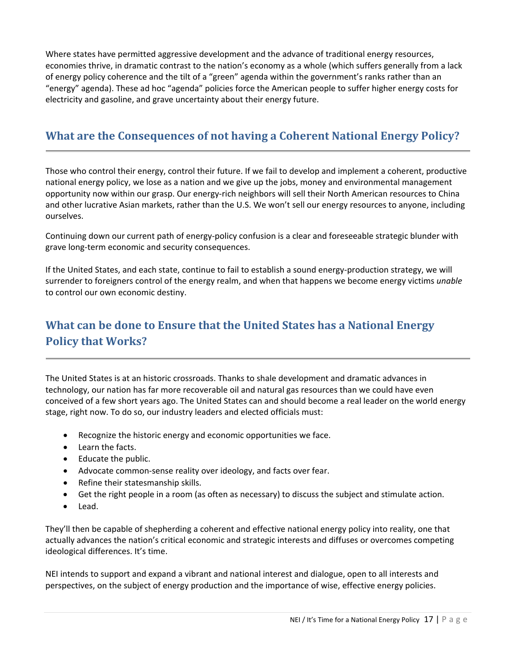Where states have permitted aggressive development and the advance of traditional energy resources, economies thrive, in dramatic contrast to the nation's economy as a whole (which suffers generally from a lack of energy policy coherence and the tilt of a "green" agenda within the government's ranks rather than an "energy" agenda). These ad hoc "agenda" policies force the American people to suffer higher energy costs for electricity and gasoline, and grave uncertainty about their energy future.

# **What are the Consequences of not having a Coherent National Energy Policy?**

Those who control their energy, control their future. If we fail to develop and implement a coherent, productive national energy policy, we lose as a nation and we give up the jobs, money and environmental management opportunity now within our grasp. Our energy-rich neighbors will sell their North American resources to China and other lucrative Asian markets, rather than the U.S. We won't sell our energy resources to anyone, including ourselves.

Continuing down our current path of energy-policy confusion is a clear and foreseeable strategic blunder with grave long-term economic and security consequences.

If the United States, and each state, continue to fail to establish a sound energy-production strategy, we will surrender to foreigners control of the energy realm, and when that happens we become energy victims *unable*  to control our own economic destiny.

# **What can be done to Ensure that the United States has a National Energy Policy that Works?**

The United States is at an historic crossroads. Thanks to shale development and dramatic advances in technology, our nation has far more recoverable oil and natural gas resources than we could have even conceived of a few short years ago. The United States can and should become a real leader on the world energy stage, right now. To do so, our industry leaders and elected officials must:

- Recognize the historic energy and economic opportunities we face.
- Learn the facts.
- Educate the public.
- Advocate common-sense reality over ideology, and facts over fear.
- Refine their statesmanship skills.
- Get the right people in a room (as often as necessary) to discuss the subject and stimulate action.
- Lead.

They'll then be capable of shepherding a coherent and effective national energy policy into reality, one that actually advances the nation's critical economic and strategic interests and diffuses or overcomes competing ideological differences. It's time.

NEI intends to support and expand a vibrant and national interest and dialogue, open to all interests and perspectives, on the subject of energy production and the importance of wise, effective energy policies.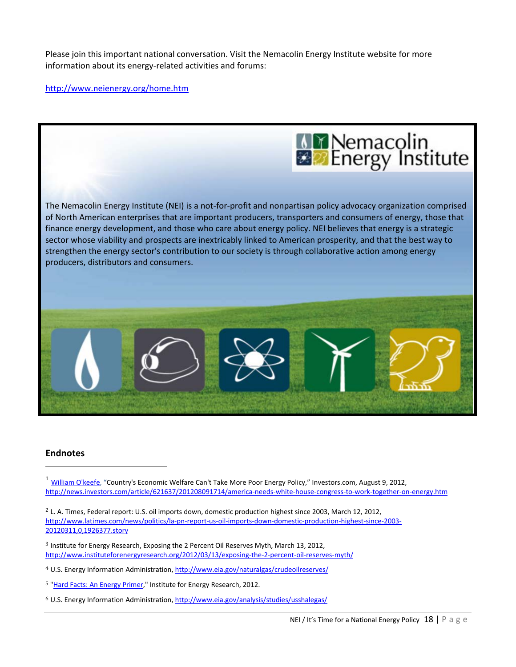Please join this important national conversation. Visit the Nemacolin Energy Institute website for more information about its energy-related activities and forums:

#### <http://www.neienergy.org/home.htm>



#### **Endnotes**

i<br>I

<sup>1</sup> [William O'keefe,](http://www.investors.com/search/searchresults.aspx?source=filterSearch&Ntt=WILLIAM+O%27KEEFE&Nr=OR%28Author%3aWILLIAM+O%27KEEFE%2cAuthor%3aWilliam+O%27keefe%29) "Country's Economic Welfare Can't Take More Poor Energy Policy," Investors.com, August 9, 2012, <http://news.investors.com/article/621637/201208091714/america-needs-white-house-congress-to-work-together-on-energy.htm>

2 L. A. Times, Federal report: U.S. oil imports down, domestic production highest since 2003, March 12, 2012, [http://www.latimes.com/news/politics/la-pn-report-us-oil-imports-down-domestic-production-highest-since-2003-](http://www.latimes.com/news/politics/la-pn-report-us-oil-imports-down-domestic-production-highest-since-2003-20120311,0,1926377.story) [20120311,0,1926377.story](http://www.latimes.com/news/politics/la-pn-report-us-oil-imports-down-domestic-production-highest-since-2003-20120311,0,1926377.story)

3 Institute for Energy Research, Exposing the 2 Percent Oil Reserves Myth, March 13, 2012, <http://www.instituteforenergyresearch.org/2012/03/13/exposing-the-2-percent-oil-reserves-myth/>

4 U.S. Energy Information Administration,<http://www.eia.gov/naturalgas/crudeoilreserves/>

5 ["Hard Facts: An Energy Primer,](http://www.instituteforenergyresearch.org/hardfacts/)" Institute for Energy Research, 2012.

 $6$  U.S. Energy Information Administration,<http://www.eia.gov/analysis/studies/usshalegas/>